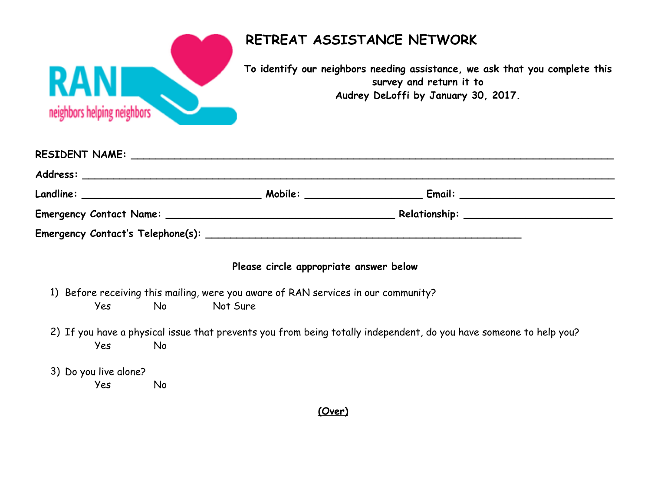

| Mobile: _____________________ |  |
|-------------------------------|--|
|                               |  |
|                               |  |

## **Please circle appropriate answer below**

- 1) Before receiving this mailing, were you aware of RAN services in our community? Yes No Not Sure
- 2) If you have a physical issue that prevents you from being totally independent, do you have someone to help you? Yes No

3) Do you live alone?

Yes No

## **(Over)**